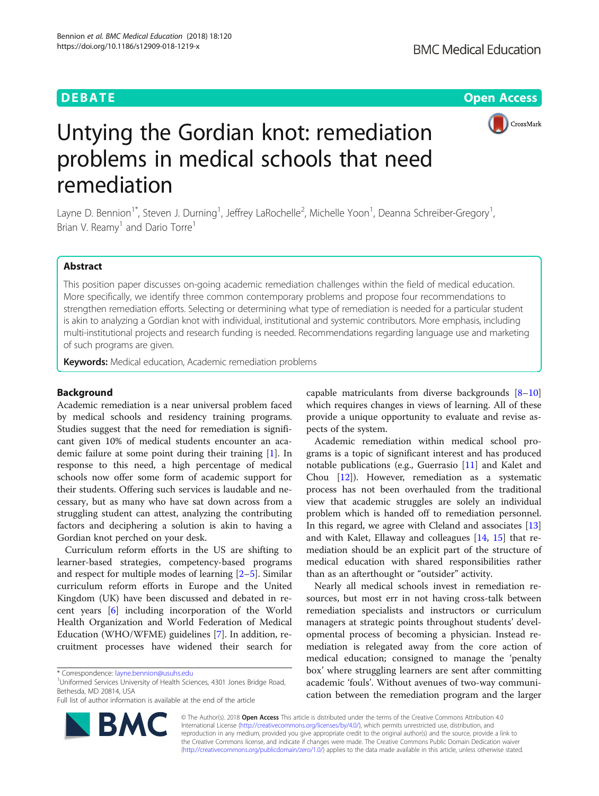**DEBATE CONSERVATION CONSERVATION CONSERVATION** 



# Untying the Gordian knot: remediation problems in medical schools that need remediation

Layne D. Bennion<sup>1\*</sup>, Steven J. Durning<sup>1</sup>, Jeffrey LaRochelle<sup>2</sup>, Michelle Yoon<sup>1</sup>, Deanna Schreiber-Gregory<sup>1</sup> , Brian V. Reamy<sup>1</sup> and Dario Torre<sup>1</sup>

# Abstract

This position paper discusses on-going academic remediation challenges within the field of medical education. More specifically, we identify three common contemporary problems and propose four recommendations to strengthen remediation efforts. Selecting or determining what type of remediation is needed for a particular student is akin to analyzing a Gordian knot with individual, institutional and systemic contributors. More emphasis, including multi-institutional projects and research funding is needed. Recommendations regarding language use and marketing of such programs are given.

Keywords: Medical education, Academic remediation problems

## Background

Academic remediation is a near universal problem faced by medical schools and residency training programs. Studies suggest that the need for remediation is significant given 10% of medical students encounter an academic failure at some point during their training [[1\]](#page-8-0). In response to this need, a high percentage of medical schools now offer some form of academic support for their students. Offering such services is laudable and necessary, but as many who have sat down across from a struggling student can attest, analyzing the contributing factors and deciphering a solution is akin to having a Gordian knot perched on your desk.

Curriculum reform efforts in the US are shifting to learner-based strategies, competency-based programs and respect for multiple modes of learning [[2](#page-8-0)–[5](#page-8-0)]. Similar curriculum reform efforts in Europe and the United Kingdom (UK) have been discussed and debated in recent years [\[6](#page-8-0)] including incorporation of the World Health Organization and World Federation of Medical Education (WHO/WFME) guidelines [\[7](#page-8-0)]. In addition, recruitment processes have widened their search for

<sup>1</sup>Uniformed Services University of Health Sciences, 4301 Jones Bridge Road, Bethesda, MD 20814, USA

Full list of author information is available at the end of the article



Academic remediation within medical school programs is a topic of significant interest and has produced notable publications (e.g., Guerrasio [[11](#page-8-0)] and Kalet and Chou [\[12](#page-8-0)]). However, remediation as a systematic process has not been overhauled from the traditional view that academic struggles are solely an individual problem which is handed off to remediation personnel. In this regard, we agree with Cleland and associates [[13](#page-8-0)] and with Kalet, Ellaway and colleagues [\[14](#page-8-0), [15](#page-8-0)] that remediation should be an explicit part of the structure of medical education with shared responsibilities rather than as an afterthought or "outsider" activity.

Nearly all medical schools invest in remediation resources, but most err in not having cross-talk between remediation specialists and instructors or curriculum managers at strategic points throughout students' developmental process of becoming a physician. Instead remediation is relegated away from the core action of medical education; consigned to manage the 'penalty box' where struggling learners are sent after committing academic 'fouls'. Without avenues of two-way communication between the remediation program and the larger



© The Author(s). 2018 Open Access This article is distributed under the terms of the Creative Commons Attribution 4.0 International License [\(http://creativecommons.org/licenses/by/4.0/](http://creativecommons.org/licenses/by/4.0/)), which permits unrestricted use, distribution, and reproduction in any medium, provided you give appropriate credit to the original author(s) and the source, provide a link to the Creative Commons license, and indicate if changes were made. The Creative Commons Public Domain Dedication waiver [\(http://creativecommons.org/publicdomain/zero/1.0/](http://creativecommons.org/publicdomain/zero/1.0/)) applies to the data made available in this article, unless otherwise stated.

<sup>\*</sup> Correspondence: [layne.bennion@usuhs.edu](mailto:layne.bennion@usuhs.edu) <sup>1</sup>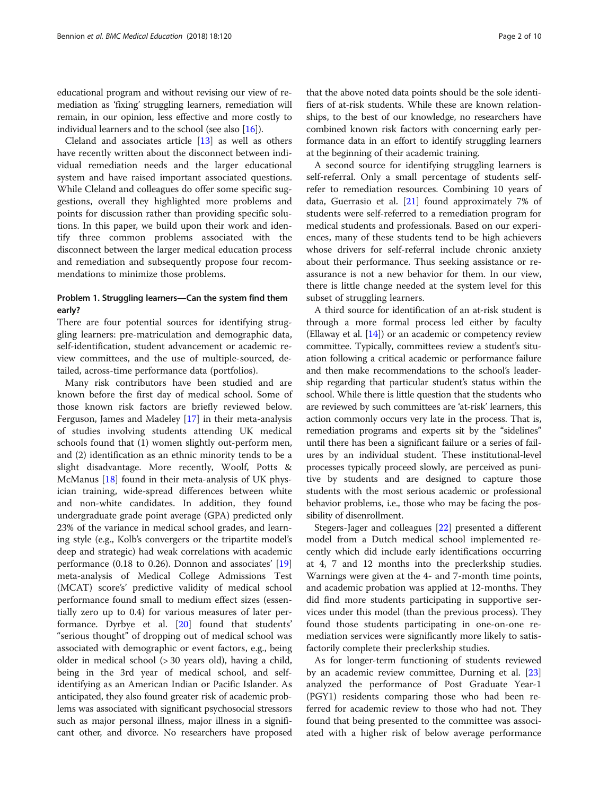educational program and without revising our view of remediation as 'fixing' struggling learners, remediation will remain, in our opinion, less effective and more costly to individual learners and to the school (see also [\[16\]](#page-8-0)).

Cleland and associates article [\[13\]](#page-8-0) as well as others have recently written about the disconnect between individual remediation needs and the larger educational system and have raised important associated questions. While Cleland and colleagues do offer some specific suggestions, overall they highlighted more problems and points for discussion rather than providing specific solutions. In this paper, we build upon their work and identify three common problems associated with the disconnect between the larger medical education process and remediation and subsequently propose four recommendations to minimize those problems.

## Problem 1. Struggling learners—Can the system find them early?

There are four potential sources for identifying struggling learners: pre-matriculation and demographic data, self-identification, student advancement or academic review committees, and the use of multiple-sourced, detailed, across-time performance data (portfolios).

Many risk contributors have been studied and are known before the first day of medical school. Some of those known risk factors are briefly reviewed below. Ferguson, James and Madeley [[17\]](#page-8-0) in their meta-analysis of studies involving students attending UK medical schools found that (1) women slightly out-perform men, and (2) identification as an ethnic minority tends to be a slight disadvantage. More recently, Woolf, Potts & McManus [[18](#page-8-0)] found in their meta-analysis of UK physician training, wide-spread differences between white and non-white candidates. In addition, they found undergraduate grade point average (GPA) predicted only 23% of the variance in medical school grades, and learning style (e.g., Kolb's convergers or the tripartite model's deep and strategic) had weak correlations with academic performance (0.18 to 0.26). Donnon and associates' [[19](#page-8-0)] meta-analysis of Medical College Admissions Test (MCAT) score's' predictive validity of medical school performance found small to medium effect sizes (essentially zero up to 0.4) for various measures of later performance. Dyrbye et al. [[20](#page-8-0)] found that students' "serious thought" of dropping out of medical school was associated with demographic or event factors, e.g., being older in medical school (> 30 years old), having a child, being in the 3rd year of medical school, and selfidentifying as an American Indian or Pacific Islander. As anticipated, they also found greater risk of academic problems was associated with significant psychosocial stressors such as major personal illness, major illness in a significant other, and divorce. No researchers have proposed

that the above noted data points should be the sole identifiers of at-risk students. While these are known relationships, to the best of our knowledge, no researchers have combined known risk factors with concerning early performance data in an effort to identify struggling learners at the beginning of their academic training.

A second source for identifying struggling learners is self-referral. Only a small percentage of students selfrefer to remediation resources. Combining 10 years of data, Guerrasio et al. [\[21\]](#page-8-0) found approximately 7% of students were self-referred to a remediation program for medical students and professionals. Based on our experiences, many of these students tend to be high achievers whose drivers for self-referral include chronic anxiety about their performance. Thus seeking assistance or reassurance is not a new behavior for them. In our view, there is little change needed at the system level for this subset of struggling learners.

A third source for identification of an at-risk student is through a more formal process led either by faculty (Ellaway et al. [\[14\]](#page-8-0)) or an academic or competency review committee. Typically, committees review a student's situation following a critical academic or performance failure and then make recommendations to the school's leadership regarding that particular student's status within the school. While there is little question that the students who are reviewed by such committees are 'at-risk' learners, this action commonly occurs very late in the process. That is, remediation programs and experts sit by the "sidelines" until there has been a significant failure or a series of failures by an individual student. These institutional-level processes typically proceed slowly, are perceived as punitive by students and are designed to capture those students with the most serious academic or professional behavior problems, i.e., those who may be facing the possibility of disenrollment.

Stegers-Jager and colleagues [\[22](#page-8-0)] presented a different model from a Dutch medical school implemented recently which did include early identifications occurring at 4, 7 and 12 months into the preclerkship studies. Warnings were given at the 4- and 7-month time points, and academic probation was applied at 12-months. They did find more students participating in supportive services under this model (than the previous process). They found those students participating in one-on-one remediation services were significantly more likely to satisfactorily complete their preclerkship studies.

As for longer-term functioning of students reviewed by an academic review committee, Durning et al. [[23](#page-8-0)] analyzed the performance of Post Graduate Year-1 (PGY1) residents comparing those who had been referred for academic review to those who had not. They found that being presented to the committee was associated with a higher risk of below average performance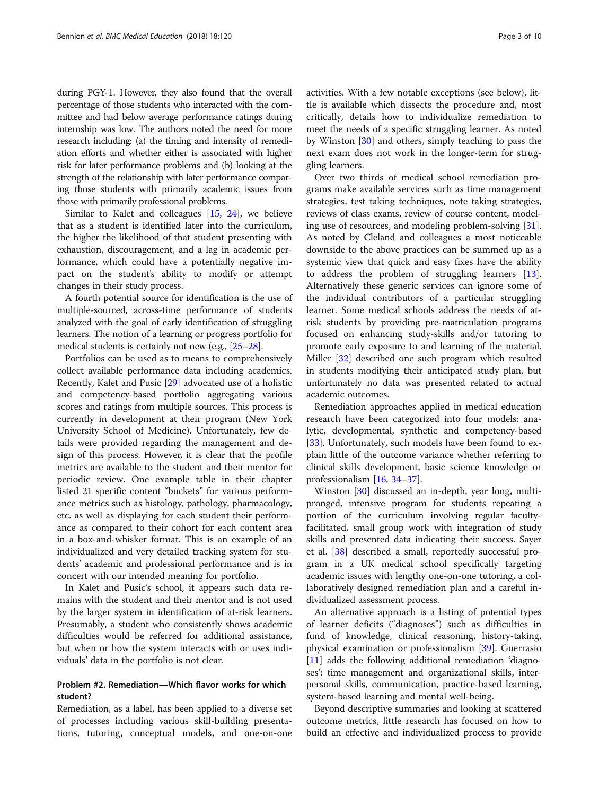during PGY-1. However, they also found that the overall percentage of those students who interacted with the committee and had below average performance ratings during internship was low. The authors noted the need for more research including: (a) the timing and intensity of remediation efforts and whether either is associated with higher risk for later performance problems and (b) looking at the strength of the relationship with later performance comparing those students with primarily academic issues from those with primarily professional problems.

Similar to Kalet and colleagues [[15](#page-8-0), [24\]](#page-8-0), we believe that as a student is identified later into the curriculum, the higher the likelihood of that student presenting with exhaustion, discouragement, and a lag in academic performance, which could have a potentially negative impact on the student's ability to modify or attempt changes in their study process.

A fourth potential source for identification is the use of multiple-sourced, across-time performance of students analyzed with the goal of early identification of struggling learners. The notion of a learning or progress portfolio for medical students is certainly not new (e.g., [\[25](#page-8-0)–[28](#page-8-0)].

Portfolios can be used as to means to comprehensively collect available performance data including academics. Recently, Kalet and Pusic [[29](#page-8-0)] advocated use of a holistic and competency-based portfolio aggregating various scores and ratings from multiple sources. This process is currently in development at their program (New York University School of Medicine). Unfortunately, few details were provided regarding the management and design of this process. However, it is clear that the profile metrics are available to the student and their mentor for periodic review. One example table in their chapter listed 21 specific content "buckets" for various performance metrics such as histology, pathology, pharmacology, etc. as well as displaying for each student their performance as compared to their cohort for each content area in a box-and-whisker format. This is an example of an individualized and very detailed tracking system for students' academic and professional performance and is in concert with our intended meaning for portfolio.

In Kalet and Pusic's school, it appears such data remains with the student and their mentor and is not used by the larger system in identification of at-risk learners. Presumably, a student who consistently shows academic difficulties would be referred for additional assistance, but when or how the system interacts with or uses individuals' data in the portfolio is not clear.

# Problem #2. Remediation—Which flavor works for which student?

Remediation, as a label, has been applied to a diverse set of processes including various skill-building presentations, tutoring, conceptual models, and one-on-one activities. With a few notable exceptions (see below), little is available which dissects the procedure and, most critically, details how to individualize remediation to meet the needs of a specific struggling learner. As noted by Winston [[30](#page-8-0)] and others, simply teaching to pass the next exam does not work in the longer-term for struggling learners.

Over two thirds of medical school remediation programs make available services such as time management strategies, test taking techniques, note taking strategies, reviews of class exams, review of course content, modeling use of resources, and modeling problem-solving [\[31](#page-8-0)]. As noted by Cleland and colleagues a most noticeable downside to the above practices can be summed up as a systemic view that quick and easy fixes have the ability to address the problem of struggling learners [\[13](#page-8-0)]. Alternatively these generic services can ignore some of the individual contributors of a particular struggling learner. Some medical schools address the needs of atrisk students by providing pre-matriculation programs focused on enhancing study-skills and/or tutoring to promote early exposure to and learning of the material. Miller [[32\]](#page-8-0) described one such program which resulted in students modifying their anticipated study plan, but unfortunately no data was presented related to actual academic outcomes.

Remediation approaches applied in medical education research have been categorized into four models: analytic, developmental, synthetic and competency-based [[33\]](#page-8-0). Unfortunately, such models have been found to explain little of the outcome variance whether referring to clinical skills development, basic science knowledge or professionalism [\[16](#page-8-0), [34](#page-8-0)–[37\]](#page-8-0).

Winston [\[30\]](#page-8-0) discussed an in-depth, year long, multipronged, intensive program for students repeating a portion of the curriculum involving regular facultyfacilitated, small group work with integration of study skills and presented data indicating their success. Sayer et al. [\[38\]](#page-8-0) described a small, reportedly successful program in a UK medical school specifically targeting academic issues with lengthy one-on-one tutoring, a collaboratively designed remediation plan and a careful individualized assessment process.

An alternative approach is a listing of potential types of learner deficits ("diagnoses") such as difficulties in fund of knowledge, clinical reasoning, history-taking, physical examination or professionalism [\[39\]](#page-8-0). Guerrasio [[11\]](#page-8-0) adds the following additional remediation 'diagnoses': time management and organizational skills, interpersonal skills, communication, practice-based learning, system-based learning and mental well-being.

Beyond descriptive summaries and looking at scattered outcome metrics, little research has focused on how to build an effective and individualized process to provide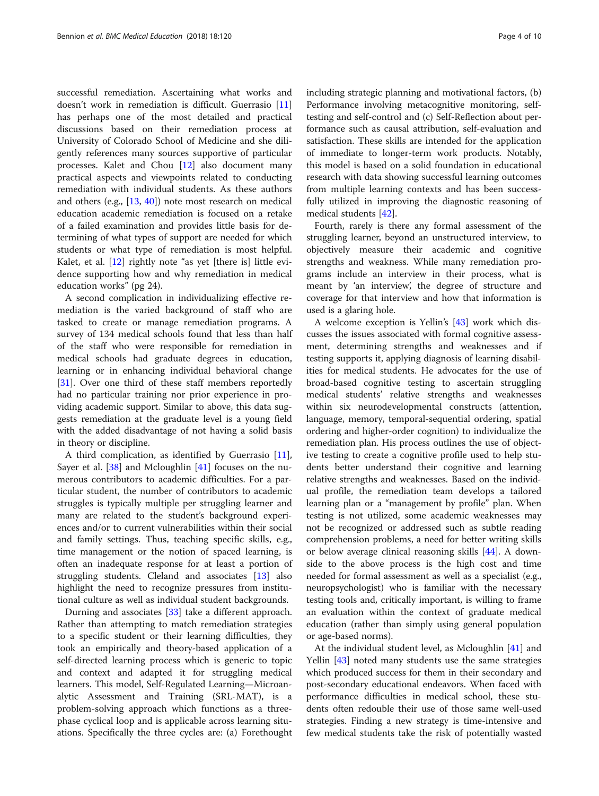successful remediation. Ascertaining what works and doesn't work in remediation is difficult. Guerrasio [[11](#page-8-0)] has perhaps one of the most detailed and practical discussions based on their remediation process at University of Colorado School of Medicine and she diligently references many sources supportive of particular processes. Kalet and Chou [\[12](#page-8-0)] also document many practical aspects and viewpoints related to conducting remediation with individual students. As these authors and others (e.g., [[13](#page-8-0), [40\]](#page-9-0)) note most research on medical education academic remediation is focused on a retake of a failed examination and provides little basis for determining of what types of support are needed for which students or what type of remediation is most helpful. Kalet, et al. [\[12](#page-8-0)] rightly note "as yet [there is] little evidence supporting how and why remediation in medical education works" (pg 24).

A second complication in individualizing effective remediation is the varied background of staff who are tasked to create or manage remediation programs. A survey of 134 medical schools found that less than half of the staff who were responsible for remediation in medical schools had graduate degrees in education, learning or in enhancing individual behavioral change [[31\]](#page-8-0). Over one third of these staff members reportedly had no particular training nor prior experience in providing academic support. Similar to above, this data suggests remediation at the graduate level is a young field with the added disadvantage of not having a solid basis in theory or discipline.

A third complication, as identified by Guerrasio [\[11](#page-8-0)], Sayer et al. [\[38](#page-8-0)] and Mcloughlin [[41\]](#page-9-0) focuses on the numerous contributors to academic difficulties. For a particular student, the number of contributors to academic struggles is typically multiple per struggling learner and many are related to the student's background experiences and/or to current vulnerabilities within their social and family settings. Thus, teaching specific skills, e.g., time management or the notion of spaced learning, is often an inadequate response for at least a portion of struggling students. Cleland and associates [\[13](#page-8-0)] also highlight the need to recognize pressures from institutional culture as well as individual student backgrounds.

Durning and associates [[33\]](#page-8-0) take a different approach. Rather than attempting to match remediation strategies to a specific student or their learning difficulties, they took an empirically and theory-based application of a self-directed learning process which is generic to topic and context and adapted it for struggling medical learners. This model, Self-Regulated Learning—Microanalytic Assessment and Training (SRL-MAT), is a problem-solving approach which functions as a threephase cyclical loop and is applicable across learning situations. Specifically the three cycles are: (a) Forethought

including strategic planning and motivational factors, (b) Performance involving metacognitive monitoring, selftesting and self-control and (c) Self-Reflection about performance such as causal attribution, self-evaluation and satisfaction. These skills are intended for the application of immediate to longer-term work products. Notably, this model is based on a solid foundation in educational research with data showing successful learning outcomes from multiple learning contexts and has been successfully utilized in improving the diagnostic reasoning of medical students [[42\]](#page-9-0).

Fourth, rarely is there any formal assessment of the struggling learner, beyond an unstructured interview, to objectively measure their academic and cognitive strengths and weakness. While many remediation programs include an interview in their process, what is meant by 'an interview', the degree of structure and coverage for that interview and how that information is used is a glaring hole.

A welcome exception is Yellin's [\[43\]](#page-9-0) work which discusses the issues associated with formal cognitive assessment, determining strengths and weaknesses and if testing supports it, applying diagnosis of learning disabilities for medical students. He advocates for the use of broad-based cognitive testing to ascertain struggling medical students' relative strengths and weaknesses within six neurodevelopmental constructs (attention, language, memory, temporal-sequential ordering, spatial ordering and higher-order cognition) to individualize the remediation plan. His process outlines the use of objective testing to create a cognitive profile used to help students better understand their cognitive and learning relative strengths and weaknesses. Based on the individual profile, the remediation team develops a tailored learning plan or a "management by profile" plan. When testing is not utilized, some academic weaknesses may not be recognized or addressed such as subtle reading comprehension problems, a need for better writing skills or below average clinical reasoning skills [[44](#page-9-0)]. A downside to the above process is the high cost and time needed for formal assessment as well as a specialist (e.g., neuropsychologist) who is familiar with the necessary testing tools and, critically important, is willing to frame an evaluation within the context of graduate medical education (rather than simply using general population or age-based norms).

At the individual student level, as Mcloughlin [\[41](#page-9-0)] and Yellin [\[43\]](#page-9-0) noted many students use the same strategies which produced success for them in their secondary and post-secondary educational endeavors. When faced with performance difficulties in medical school, these students often redouble their use of those same well-used strategies. Finding a new strategy is time-intensive and few medical students take the risk of potentially wasted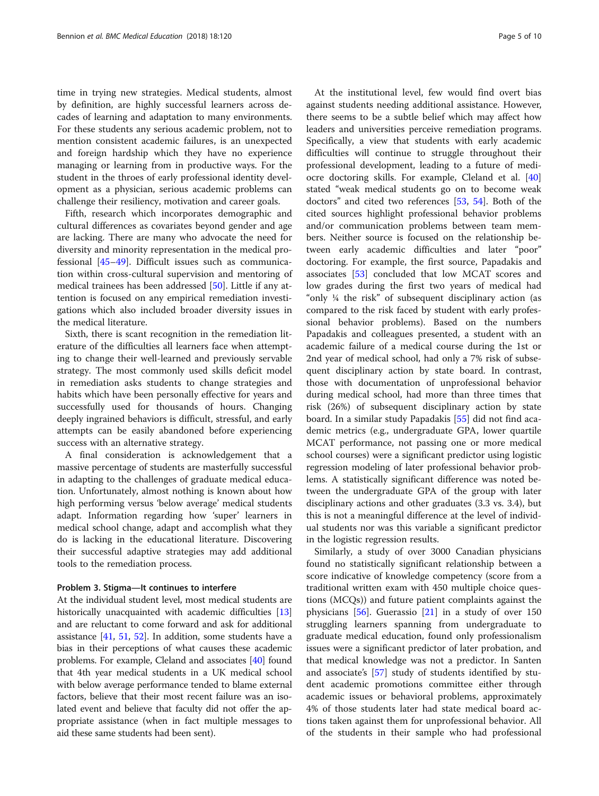time in trying new strategies. Medical students, almost by definition, are highly successful learners across decades of learning and adaptation to many environments. For these students any serious academic problem, not to mention consistent academic failures, is an unexpected and foreign hardship which they have no experience managing or learning from in productive ways. For the student in the throes of early professional identity development as a physician, serious academic problems can challenge their resiliency, motivation and career goals.

Fifth, research which incorporates demographic and cultural differences as covariates beyond gender and age are lacking. There are many who advocate the need for diversity and minority representation in the medical professional [[45](#page-9-0)–[49](#page-9-0)]. Difficult issues such as communication within cross-cultural supervision and mentoring of medical trainees has been addressed [\[50](#page-9-0)]. Little if any attention is focused on any empirical remediation investigations which also included broader diversity issues in the medical literature.

Sixth, there is scant recognition in the remediation literature of the difficulties all learners face when attempting to change their well-learned and previously servable strategy. The most commonly used skills deficit model in remediation asks students to change strategies and habits which have been personally effective for years and successfully used for thousands of hours. Changing deeply ingrained behaviors is difficult, stressful, and early attempts can be easily abandoned before experiencing success with an alternative strategy.

A final consideration is acknowledgement that a massive percentage of students are masterfully successful in adapting to the challenges of graduate medical education. Unfortunately, almost nothing is known about how high performing versus 'below average' medical students adapt. Information regarding how 'super' learners in medical school change, adapt and accomplish what they do is lacking in the educational literature. Discovering their successful adaptive strategies may add additional tools to the remediation process.

#### Problem 3. Stigma—It continues to interfere

At the individual student level, most medical students are historically unacquainted with academic difficulties [[13](#page-8-0)] and are reluctant to come forward and ask for additional assistance [[41](#page-9-0), [51,](#page-9-0) [52\]](#page-9-0). In addition, some students have a bias in their perceptions of what causes these academic problems. For example, Cleland and associates [\[40\]](#page-9-0) found that 4th year medical students in a UK medical school with below average performance tended to blame external factors, believe that their most recent failure was an isolated event and believe that faculty did not offer the appropriate assistance (when in fact multiple messages to aid these same students had been sent).

At the institutional level, few would find overt bias against students needing additional assistance. However, there seems to be a subtle belief which may affect how leaders and universities perceive remediation programs. Specifically, a view that students with early academic difficulties will continue to struggle throughout their professional development, leading to a future of mediocre doctoring skills. For example, Cleland et al. [[40](#page-9-0)] stated "weak medical students go on to become weak doctors" and cited two references [\[53](#page-9-0), [54](#page-9-0)]. Both of the cited sources highlight professional behavior problems and/or communication problems between team members. Neither source is focused on the relationship between early academic difficulties and later "poor" doctoring. For example, the first source, Papadakis and associates [\[53\]](#page-9-0) concluded that low MCAT scores and low grades during the first two years of medical had "only ¼ the risk" of subsequent disciplinary action (as compared to the risk faced by student with early professional behavior problems). Based on the numbers Papadakis and colleagues presented, a student with an academic failure of a medical course during the 1st or 2nd year of medical school, had only a 7% risk of subsequent disciplinary action by state board. In contrast, those with documentation of unprofessional behavior during medical school, had more than three times that risk (26%) of subsequent disciplinary action by state board. In a similar study Papadakis [\[55](#page-9-0)] did not find academic metrics (e.g., undergraduate GPA, lower quartile MCAT performance, not passing one or more medical school courses) were a significant predictor using logistic regression modeling of later professional behavior problems. A statistically significant difference was noted between the undergraduate GPA of the group with later disciplinary actions and other graduates (3.3 vs. 3.4), but this is not a meaningful difference at the level of individual students nor was this variable a significant predictor in the logistic regression results.

Similarly, a study of over 3000 Canadian physicians found no statistically significant relationship between a score indicative of knowledge competency (score from a traditional written exam with 450 multiple choice questions (MCQs)) and future patient complaints against the physicians  $[56]$  $[56]$ . Guerassio  $[21]$  $[21]$  $[21]$  in a study of over 150 struggling learners spanning from undergraduate to graduate medical education, found only professionalism issues were a significant predictor of later probation, and that medical knowledge was not a predictor. In Santen and associate's [[57](#page-9-0)] study of students identified by student academic promotions committee either through academic issues or behavioral problems, approximately 4% of those students later had state medical board actions taken against them for unprofessional behavior. All of the students in their sample who had professional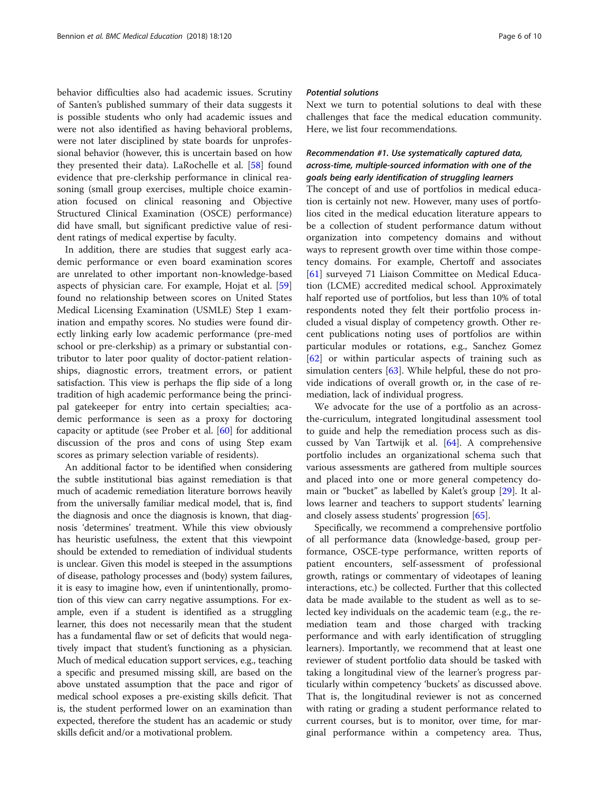behavior difficulties also had academic issues. Scrutiny of Santen's published summary of their data suggests it is possible students who only had academic issues and were not also identified as having behavioral problems, were not later disciplined by state boards for unprofessional behavior (however, this is uncertain based on how they presented their data). LaRochelle et al. [\[58](#page-9-0)] found evidence that pre-clerkship performance in clinical reasoning (small group exercises, multiple choice examination focused on clinical reasoning and Objective Structured Clinical Examination (OSCE) performance) did have small, but significant predictive value of resident ratings of medical expertise by faculty.

In addition, there are studies that suggest early academic performance or even board examination scores are unrelated to other important non-knowledge-based aspects of physician care. For example, Hojat et al. [[59](#page-9-0)] found no relationship between scores on United States Medical Licensing Examination (USMLE) Step 1 examination and empathy scores. No studies were found directly linking early low academic performance (pre-med school or pre-clerkship) as a primary or substantial contributor to later poor quality of doctor-patient relationships, diagnostic errors, treatment errors, or patient satisfaction. This view is perhaps the flip side of a long tradition of high academic performance being the principal gatekeeper for entry into certain specialties; academic performance is seen as a proxy for doctoring capacity or aptitude (see Prober et al. [[60](#page-9-0)] for additional discussion of the pros and cons of using Step exam scores as primary selection variable of residents).

An additional factor to be identified when considering the subtle institutional bias against remediation is that much of academic remediation literature borrows heavily from the universally familiar medical model, that is, find the diagnosis and once the diagnosis is known, that diagnosis 'determines' treatment. While this view obviously has heuristic usefulness, the extent that this viewpoint should be extended to remediation of individual students is unclear. Given this model is steeped in the assumptions of disease, pathology processes and (body) system failures, it is easy to imagine how, even if unintentionally, promotion of this view can carry negative assumptions. For example, even if a student is identified as a struggling learner, this does not necessarily mean that the student has a fundamental flaw or set of deficits that would negatively impact that student's functioning as a physician. Much of medical education support services, e.g., teaching a specific and presumed missing skill, are based on the above unstated assumption that the pace and rigor of medical school exposes a pre-existing skills deficit. That is, the student performed lower on an examination than expected, therefore the student has an academic or study skills deficit and/or a motivational problem.

#### Potential solutions

Next we turn to potential solutions to deal with these challenges that face the medical education community. Here, we list four recommendations.

# Recommendation #1. Use systematically captured data, across-time, multiple-sourced information with one of the goals being early identification of struggling learners

The concept of and use of portfolios in medical education is certainly not new. However, many uses of portfolios cited in the medical education literature appears to be a collection of student performance datum without organization into competency domains and without ways to represent growth over time within those competency domains. For example, Chertoff and associates [[61\]](#page-9-0) surveyed 71 Liaison Committee on Medical Education (LCME) accredited medical school. Approximately half reported use of portfolios, but less than 10% of total respondents noted they felt their portfolio process included a visual display of competency growth. Other recent publications noting uses of portfolios are within particular modules or rotations, e.g., Sanchez Gomez [[62\]](#page-9-0) or within particular aspects of training such as simulation centers  $[63]$  $[63]$  $[63]$ . While helpful, these do not provide indications of overall growth or, in the case of remediation, lack of individual progress.

We advocate for the use of a portfolio as an acrossthe-curriculum, integrated longitudinal assessment tool to guide and help the remediation process such as discussed by Van Tartwijk et al. [\[64\]](#page-9-0). A comprehensive portfolio includes an organizational schema such that various assessments are gathered from multiple sources and placed into one or more general competency domain or "bucket" as labelled by Kalet's group [\[29](#page-8-0)]. It allows learner and teachers to support students' learning and closely assess students' progression [[65](#page-9-0)].

Specifically, we recommend a comprehensive portfolio of all performance data (knowledge-based, group performance, OSCE-type performance, written reports of patient encounters, self-assessment of professional growth, ratings or commentary of videotapes of leaning interactions, etc.) be collected. Further that this collected data be made available to the student as well as to selected key individuals on the academic team (e.g., the remediation team and those charged with tracking performance and with early identification of struggling learners). Importantly, we recommend that at least one reviewer of student portfolio data should be tasked with taking a longitudinal view of the learner's progress particularly within competency 'buckets' as discussed above. That is, the longitudinal reviewer is not as concerned with rating or grading a student performance related to current courses, but is to monitor, over time, for marginal performance within a competency area. Thus,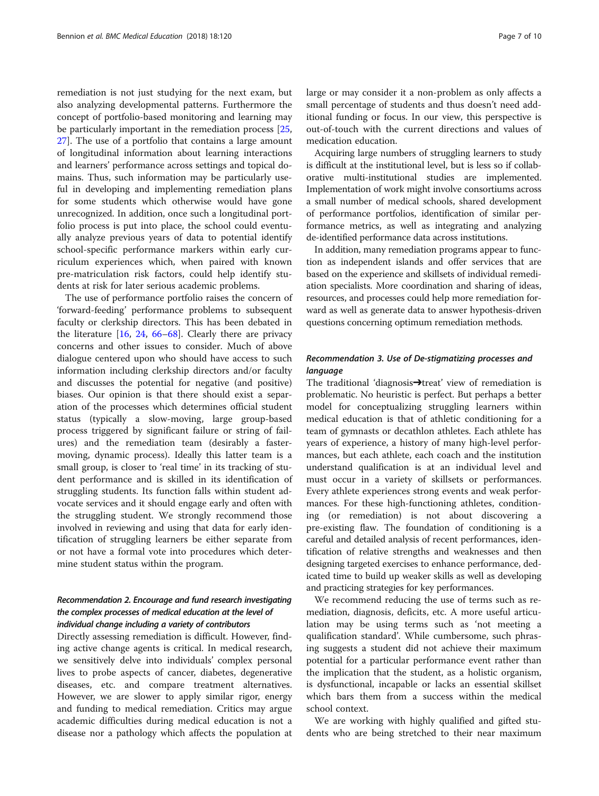remediation is not just studying for the next exam, but also analyzing developmental patterns. Furthermore the concept of portfolio-based monitoring and learning may be particularly important in the remediation process [[25](#page-8-0), [27\]](#page-8-0). The use of a portfolio that contains a large amount of longitudinal information about learning interactions and learners' performance across settings and topical domains. Thus, such information may be particularly useful in developing and implementing remediation plans for some students which otherwise would have gone unrecognized. In addition, once such a longitudinal portfolio process is put into place, the school could eventually analyze previous years of data to potential identify school-specific performance markers within early curriculum experiences which, when paired with known pre-matriculation risk factors, could help identify students at risk for later serious academic problems.

The use of performance portfolio raises the concern of 'forward-feeding' performance problems to subsequent faculty or clerkship directors. This has been debated in the literature  $[16, 24, 66-68]$  $[16, 24, 66-68]$  $[16, 24, 66-68]$  $[16, 24, 66-68]$  $[16, 24, 66-68]$  $[16, 24, 66-68]$  $[16, 24, 66-68]$  $[16, 24, 66-68]$ . Clearly there are privacy concerns and other issues to consider. Much of above dialogue centered upon who should have access to such information including clerkship directors and/or faculty and discusses the potential for negative (and positive) biases. Our opinion is that there should exist a separation of the processes which determines official student status (typically a slow-moving, large group-based process triggered by significant failure or string of failures) and the remediation team (desirably a fastermoving, dynamic process). Ideally this latter team is a small group, is closer to 'real time' in its tracking of student performance and is skilled in its identification of struggling students. Its function falls within student advocate services and it should engage early and often with the struggling student. We strongly recommend those involved in reviewing and using that data for early identification of struggling learners be either separate from or not have a formal vote into procedures which determine student status within the program.

# Recommendation 2. Encourage and fund research investigating the complex processes of medical education at the level of individual change including a variety of contributors

Directly assessing remediation is difficult. However, finding active change agents is critical. In medical research, we sensitively delve into individuals' complex personal lives to probe aspects of cancer, diabetes, degenerative diseases, etc. and compare treatment alternatives. However, we are slower to apply similar rigor, energy and funding to medical remediation. Critics may argue academic difficulties during medical education is not a disease nor a pathology which affects the population at large or may consider it a non-problem as only affects a small percentage of students and thus doesn't need additional funding or focus. In our view, this perspective is out-of-touch with the current directions and values of medication education.

Acquiring large numbers of struggling learners to study is difficult at the institutional level, but is less so if collaborative multi-institutional studies are implemented. Implementation of work might involve consortiums across a small number of medical schools, shared development of performance portfolios, identification of similar performance metrics, as well as integrating and analyzing de-identified performance data across institutions.

In addition, many remediation programs appear to function as independent islands and offer services that are based on the experience and skillsets of individual remediation specialists. More coordination and sharing of ideas, resources, and processes could help more remediation forward as well as generate data to answer hypothesis-driven questions concerning optimum remediation methods.

# Recommendation 3. Use of De-stigmatizing processes and language

The traditional 'diagnosis➔treat' view of remediation is problematic. No heuristic is perfect. But perhaps a better model for conceptualizing struggling learners within medical education is that of athletic conditioning for a team of gymnasts or decathlon athletes. Each athlete has years of experience, a history of many high-level performances, but each athlete, each coach and the institution understand qualification is at an individual level and must occur in a variety of skillsets or performances. Every athlete experiences strong events and weak performances. For these high-functioning athletes, conditioning (or remediation) is not about discovering a pre-existing flaw. The foundation of conditioning is a careful and detailed analysis of recent performances, identification of relative strengths and weaknesses and then designing targeted exercises to enhance performance, dedicated time to build up weaker skills as well as developing and practicing strategies for key performances.

We recommend reducing the use of terms such as remediation, diagnosis, deficits, etc. A more useful articulation may be using terms such as 'not meeting a qualification standard'. While cumbersome, such phrasing suggests a student did not achieve their maximum potential for a particular performance event rather than the implication that the student, as a holistic organism, is dysfunctional, incapable or lacks an essential skillset which bars them from a success within the medical school context.

We are working with highly qualified and gifted students who are being stretched to their near maximum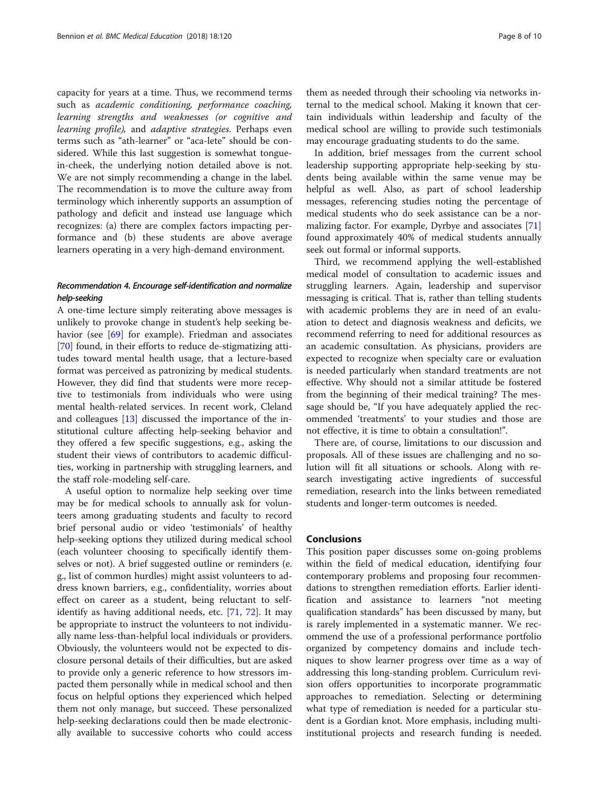capacity for years at a time. Thus, we recommend terms such as academic conditioning, performance coaching, learning strengths and weaknesses (or cognitive and learning profile), and *adaptive strategies*. Perhaps even terms such as "ath-learner" or "aca-lete" should be considered. While this last suggestion is somewhat tonguein-cheek, the underlying notion detailed above is not. We are not simply recommending a change in the label. The recommendation is to move the culture away from terminology which inherently supports an assumption of pathology and deficit and instead use language which recognizes: (a) there are complex factors impacting performance and (b) these students are above average learners operating in a very high-demand environment.

# Recommendation 4. Encourage self-identification and normalize help-seeking

A one-time lecture simply reiterating above messages is unlikely to provoke change in student's help seeking be-havior (see [\[69\]](#page-9-0) for example). Friedman and associates [[70\]](#page-9-0) found, in their efforts to reduce de-stigmatizing attitudes toward mental health usage, that a lecture-based format was perceived as patronizing by medical students. However, they did find that students were more receptive to testimonials from individuals who were using mental health-related services. In recent work, Cleland and colleagues [\[13](#page-8-0)] discussed the importance of the institutional culture affecting help-seeking behavior and they offered a few specific suggestions, e.g., asking the student their views of contributors to academic difficulties, working in partnership with struggling learners, and the staff role-modeling self-care.

A useful option to normalize help seeking over time may be for medical schools to annually ask for volunteers among graduating students and faculty to record brief personal audio or video 'testimonials' of healthy help-seeking options they utilized during medical school (each volunteer choosing to specifically identify themselves or not). A brief suggested outline or reminders (e. g., list of common hurdles) might assist volunteers to address known barriers, e.g., confidentiality, worries about effect on career as a student, being reluctant to selfidentify as having additional needs, etc. [[71](#page-9-0), [72](#page-9-0)]. It may be appropriate to instruct the volunteers to not individually name less-than-helpful local individuals or providers. Obviously, the volunteers would not be expected to disclosure personal details of their difficulties, but are asked to provide only a generic reference to how stressors impacted them personally while in medical school and then focus on helpful options they experienced which helped them not only manage, but succeed. These personalized help-seeking declarations could then be made electronically available to successive cohorts who could access

them as needed through their schooling via networks internal to the medical school. Making it known that certain individuals within leadership and faculty of the medical school are willing to provide such testimonials may encourage graduating students to do the same.

In addition, brief messages from the current school leadership supporting appropriate help-seeking by students being available within the same venue may be helpful as well. Also, as part of school leadership messages, referencing studies noting the percentage of medical students who do seek assistance can be a normalizing factor. For example, Dyrbye and associates [[71](#page-9-0)] found approximately 40% of medical students annually seek out formal or informal supports.

Third, we recommend applying the well-established medical model of consultation to academic issues and struggling learners. Again, leadership and supervisor messaging is critical. That is, rather than telling students with academic problems they are in need of an evaluation to detect and diagnosis weakness and deficits, we recommend referring to need for additional resources as an academic consultation. As physicians, providers are expected to recognize when specialty care or evaluation is needed particularly when standard treatments are not effective. Why should not a similar attitude be fostered from the beginning of their medical training? The message should be, "If you have adequately applied the recommended 'treatments' to your studies and those are not effective, it is time to obtain a consultation!".

There are, of course, limitations to our discussion and proposals. All of these issues are challenging and no solution will fit all situations or schools. Along with research investigating active ingredients of successful remediation, research into the links between remediated students and longer-term outcomes is needed.

# Conclusions

This position paper discusses some on-going problems within the field of medical education, identifying four contemporary problems and proposing four recommendations to strengthen remediation efforts. Earlier identification and assistance to learners "not meeting qualification standards" has been discussed by many, but is rarely implemented in a systematic manner. We recommend the use of a professional performance portfolio organized by competency domains and include techniques to show learner progress over time as a way of addressing this long-standing problem. Curriculum revision offers opportunities to incorporate programmatic approaches to remediation. Selecting or determining what type of remediation is needed for a particular student is a Gordian knot. More emphasis, including multiinstitutional projects and research funding is needed.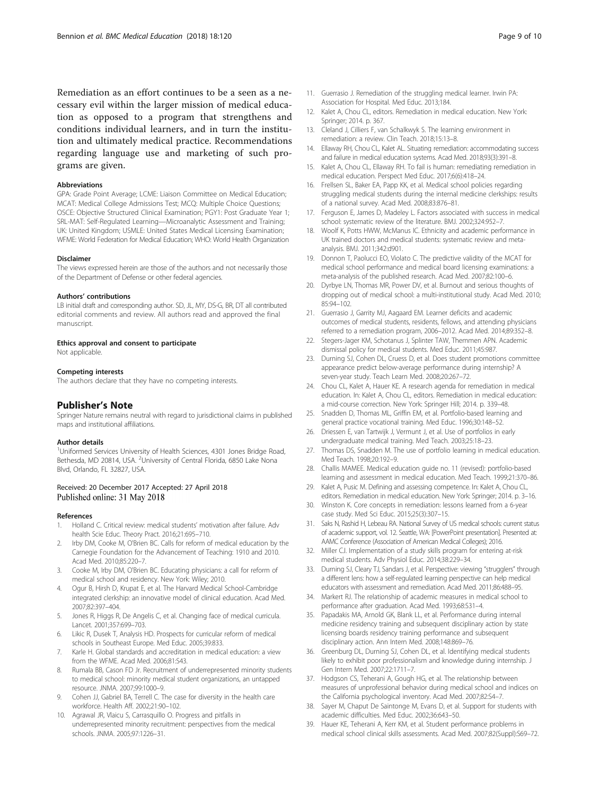<span id="page-8-0"></span>Remediation as an effort continues to be a seen as a necessary evil within the larger mission of medical education as opposed to a program that strengthens and conditions individual learners, and in turn the institution and ultimately medical practice. Recommendations regarding language use and marketing of such programs are given.

#### Abbreviations

GPA: Grade Point Average; LCME: Liaison Committee on Medical Education; MCAT: Medical College Admissions Test; MCQ: Multiple Choice Questions; OSCE: Objective Structured Clinical Examination; PGY1: Post Graduate Year 1; SRL-MAT: Self-Regulated Learning—Microanalytic Assessment and Training; UK: United Kingdom; USMLE: United States Medical Licensing Examination; WFME: World Federation for Medical Education; WHO: World Health Organization

#### Disclaimer

The views expressed herein are those of the authors and not necessarily those of the Department of Defense or other federal agencies.

#### Authors' contributions

LB initial draft and corresponding author. SD, JL, MY, DS-G, BR, DT all contributed editorial comments and review. All authors read and approved the final manuscript.

#### Ethics approval and consent to participate

Not applicable.

#### Competing interests

The authors declare that they have no competing interests.

## Publisher's Note

Springer Nature remains neutral with regard to jurisdictional claims in published maps and institutional affiliations.

#### Author details

<sup>1</sup>Uniformed Services University of Health Sciences, 4301 Jones Bridge Road, Bethesda, MD 20814, USA. <sup>2</sup>University of Central Florida, 6850 Lake Nona Blvd, Orlando, FL 32827, USA.

#### Received: 20 December 2017 Accepted: 27 April 2018 Published online: 31 May 2018

#### References

- 1. Holland C. Critical review: medical students' motivation after failure. Adv health Scie Educ. Theory Pract. 2016;21:695–710.
- 2. Irby DM, Cooke M, O'Brien BC. Calls for reform of medical education by the Carnegie Foundation for the Advancement of Teaching: 1910 and 2010. Acad Med. 2010;85:220–7.
- 3. Cooke M, Irby DM, O'Brien BC. Educating physicians: a call for reform of medical school and residency. New York: Wiley; 2010.
- 4. Ogur B, Hirsh D, Krupat E, et al. The Harvard Medical School-Cambridge integrated clerkship: an innovative model of clinical education. Acad Med. 2007;82:397–404.
- 5. Jones R, Higgs R, De Angelis C, et al. Changing face of medical curricula. Lancet. 2001;357:699–703.
- 6. Likic R, Dusek T, Analysis HD. Prospects for curricular reform of medical schools in Southeast Europe. Med Educ. 2005;39:833.
- Karle H. Global standards and accreditation in medical education: a view from the WFME. Acad Med. 2006;81:S43.
- 8. Rumala BB, Cason FD Jr. Recruitment of underrepresented minority students to medical school: minority medical student organizations, an untapped resource. JNMA. 2007;99:1000–9.
- Cohen JJ, Gabriel BA, Terrell C. The case for diversity in the health care workforce. Health Aff. 2002;21:90–102.
- 10. Agrawal JR, Vlaicu S, Carrasquillo O. Progress and pitfalls in underrepresented minority recruitment: perspectives from the medical schools. JNMA. 2005;97:1226–31.
- 11. Guerrasio J. Remediation of the struggling medical learner. Irwin PA: Association for Hospital. Med Educ. 2013;184.
- 12. Kalet A, Chou CL, editors. Remediation in medical education. New York: Springer; 2014. p. 367.
- 13. Cleland J, Cilliers F, van Schalkwyk S. The learning environment in remediation: a review. Clin Teach. 2018;15:13–8.
- 14. Ellaway RH, Chou CL, Kalet AL. Situating remediation: accommodating success and failure in medical education systems. Acad Med. 2018;93(3):391–8.
- 15. Kalet A, Chou CL, Ellaway RH. To fail is human: remediating remediation in medical education. Perspect Med Educ. 2017;6(6):418–24.
- 16. Frellsen SL, Baker EA, Papp KK, et al. Medical school policies regarding struggling medical students during the internal medicine clerkships: results of a national survey. Acad Med. 2008;83:876–81.
- 17. Ferguson E, James D, Madeley L. Factors associated with success in medical school: systematic review of the literature. BMJ. 2002;324:952–7.
- 18. Woolf K, Potts HWW, McManus IC. Ethnicity and academic performance in UK trained doctors and medical students: systematic review and metaanalysis. BMJ. 2011;342:d901.
- 19. Donnon T, Paolucci EO, Violato C. The predictive validity of the MCAT for medical school performance and medical board licensing examinations: a meta-analysis of the published research. Acad Med. 2007;82:100–6.
- 20. Dyrbye LN, Thomas MR, Power DV, et al. Burnout and serious thoughts of dropping out of medical school: a multi-institutional study. Acad Med. 2010; 85:94–102.
- 21. Guerrasio J, Garrity MJ, Aagaard EM. Learner deficits and academic outcomes of medical students, residents, fellows, and attending physicians referred to a remediation program, 2006–2012. Acad Med. 2014;89:352–8.
- 22. Stegers-Jager KM, Schotanus J, Splinter TAW, Themmen APN. Academic dismissal policy for medical students. Med Educ. 2011;45:987.
- 23. Durning SJ, Cohen DL, Cruess D, et al. Does student promotions committee appearance predict below-average performance during internship? A seven-year study. Teach Learn Med. 2008;20:267–72.
- 24. Chou CL, Kalet A, Hauer KE. A research agenda for remediation in medical education. In: Kalet A, Chou CL, editors. Remediation in medical education: a mid-course correction. New York: Springer Hill; 2014. p. 339–48.
- 25. Snadden D, Thomas ML, Griffin EM, et al. Portfolio-based learning and general practice vocational training. Med Educ. 1996;30:148–52.
- 26. Driessen E, van Tartwijk J, Vermunt J, et al. Use of portfolios in early undergraduate medical training. Med Teach. 2003;25:18–23.
- 27. Thomas DS, Snadden M. The use of portfolio learning in medical education. Med Teach. 1998;20:192–9.
- 28. Challis MAMEE. Medical education guide no. 11 (revised): portfolio-based learning and assessment in medical education. Med Teach. 1999;21:370–86.
- 29. Kalet A, Pusic M. Defining and assessing competence. In: Kalet A, Chou CL, editors. Remediation in medical education. New York: Springer; 2014. p. 3–16.
- 30. Winston K. Core concepts in remediation: lessons learned from a 6-year case study. Med Sci Educ. 2015;25(3):307–15.
- 31. Saks N, Rashid H, Lebeau RA. National Survey of US medical schools: current status of academic support, vol. 12. Seattle, WA: [PowerPoint presentation]. Presented at: AAMC Conference (Association of American Medical Colleges); 2016.
- 32. Miller CJ. Implementation of a study skills program for entering at-risk medical students. Adv Physiol Educ. 2014;38:229–34.
- 33. Durning SJ, Cleary TJ, Sandars J, et al. Perspective: viewing "strugglers" through a different lens: how a self-regulated learning perspective can help medical educators with assessment and remediation. Acad Med. 2011;86:488–95.
- 34. Markert RJ. The relationship of academic measures in medical school to performance after graduation. Acad Med. 1993;68:S31–4.
- 35. Papadakis MA, Arnold GK, Blank LL, et al. Performance during internal medicine residency training and subsequent disciplinary action by state licensing boards residency training performance and subsequent disciplinary action. Ann Intern Med. 2008;148:869–76.
- 36. Greenburg DL, Durning SJ, Cohen DL, et al. Identifying medical students likely to exhibit poor professionalism and knowledge during internship. J Gen Intern Med. 2007;22:1711–7.
- 37. Hodgson CS, Teherani A, Gough HG, et al. The relationship between measures of unprofessional behavior during medical school and indices on the California psychological inventory. Acad Med. 2007;82:S4–7.
- 38. Sayer M, Chaput De Saintonge M, Evans D, et al. Support for students with academic difficulties. Med Educ. 2002;36:643–50.
- 39. Hauer KE, Teherani A, Kerr KM, et al. Student performance problems in medical school clinical skills assessments. Acad Med. 2007;82(Suppl):S69–72.